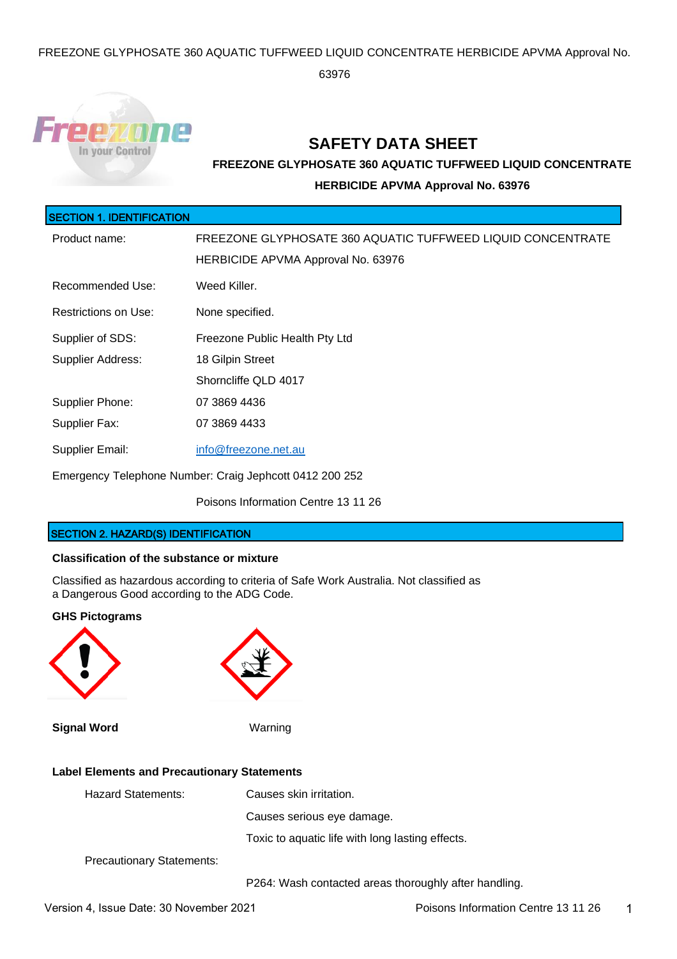FREEZONE GLYPHOSATE 360 AQUATIC TUFFWEED LIQUID CONCENTRATE HERBICIDE APVMA Approval No.

63976



# **SAFETY DATA SHEET**

**FREEZONE GLYPHOSATE 360 AQUATIC TUFFWEED LIQUID CONCENTRATE** 

# **HERBICIDE APVMA Approval No. 63976**

| <b>SECTION 1. IDENTIFICATION</b>                        |                                                             |  |
|---------------------------------------------------------|-------------------------------------------------------------|--|
| Product name:                                           | FREEZONE GLYPHOSATE 360 AQUATIC TUFFWEED LIQUID CONCENTRATE |  |
|                                                         | HERBICIDE APVMA Approval No. 63976                          |  |
| Recommended Use:                                        | Weed Killer.                                                |  |
| Restrictions on Use:                                    | None specified.                                             |  |
| Supplier of SDS:                                        | Freezone Public Health Pty Ltd                              |  |
| <b>Supplier Address:</b>                                | 18 Gilpin Street                                            |  |
|                                                         | Shorncliffe QLD 4017                                        |  |
| Supplier Phone:                                         | 07 3869 4436                                                |  |
| Supplier Fax:                                           | 07 3869 4433                                                |  |
| <b>Supplier Email:</b>                                  | info@freezone.net.au                                        |  |
| Emergency Telephone Number: Craig Jephcott 0412 200 252 |                                                             |  |

Poisons Information Centre 13 11 26

# SECTION 2. HAZARD(S) IDENTIFICATION

#### **Classification of the substance or mixture**

Classified as hazardous according to criteria of Safe Work Australia. Not classified as a Dangerous Good according to the ADG Code.

# **GHS Pictograms**



**Signal Word** Warning



# **Label Elements and Precautionary Statements**

Hazard Statements: Causes skin irritation.

Causes serious eye damage.

Toxic to aquatic life with long lasting effects.

Precautionary Statements:

P264: Wash contacted areas thoroughly after handling.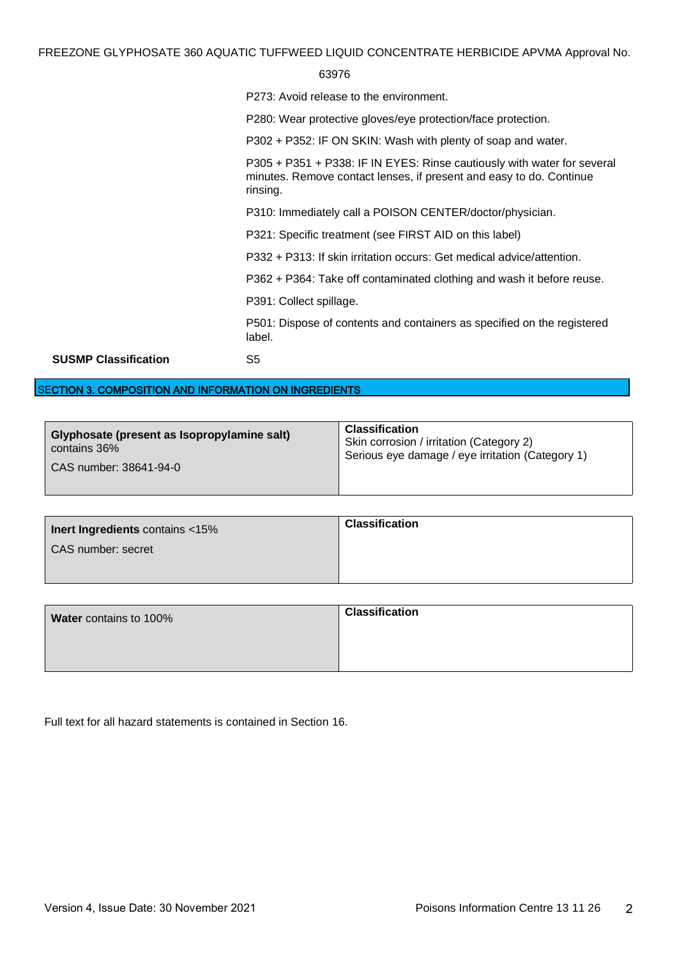FREEZONE GLYPHOSATE 360 AQUATIC TUFFWEED LIQUID CONCENTRATE HERBICIDE APVMA Approval No.

#### 63976

P273: Avoid release to the environment.

P280: Wear protective gloves/eye protection/face protection.

P302 + P352: IF ON SKIN: Wash with plenty of soap and water.

P305 + P351 + P338: IF IN EYES: Rinse cautiously with water for several minutes. Remove contact lenses, if present and easy to do. Continue rinsing.

P310: Immediately call a POISON CENTER/doctor/physician.

P321: Specific treatment (see FIRST AID on this label)

P332 + P313: If skin irritation occurs: Get medical advice/attention.

P362 + P364: Take off contaminated clothing and wash it before reuse.

P391: Collect spillage.

P501: Dispose of contents and containers as specified on the registered label.

**SUSMP Classification** S5

#### SECTION 3. COMPOSITION AND INFORMATION ON INGREDIENTS

| Glyphosate (present as Isopropylamine salt) | <b>Classification</b>                            |
|---------------------------------------------|--------------------------------------------------|
| contains 36%                                | Skin corrosion / irritation (Category 2)         |
| CAS number: 38641-94-0                      | Serious eye damage / eye irritation (Category 1) |

| <b>Inert Ingredients</b> contains <15% | <b>Classification</b> |
|----------------------------------------|-----------------------|
| CAS number: secret                     |                       |
|                                        |                       |

| <b>Water</b> contains to 100% | <b>Classification</b> |
|-------------------------------|-----------------------|
|                               |                       |

Full text for all hazard statements is contained in Section 16.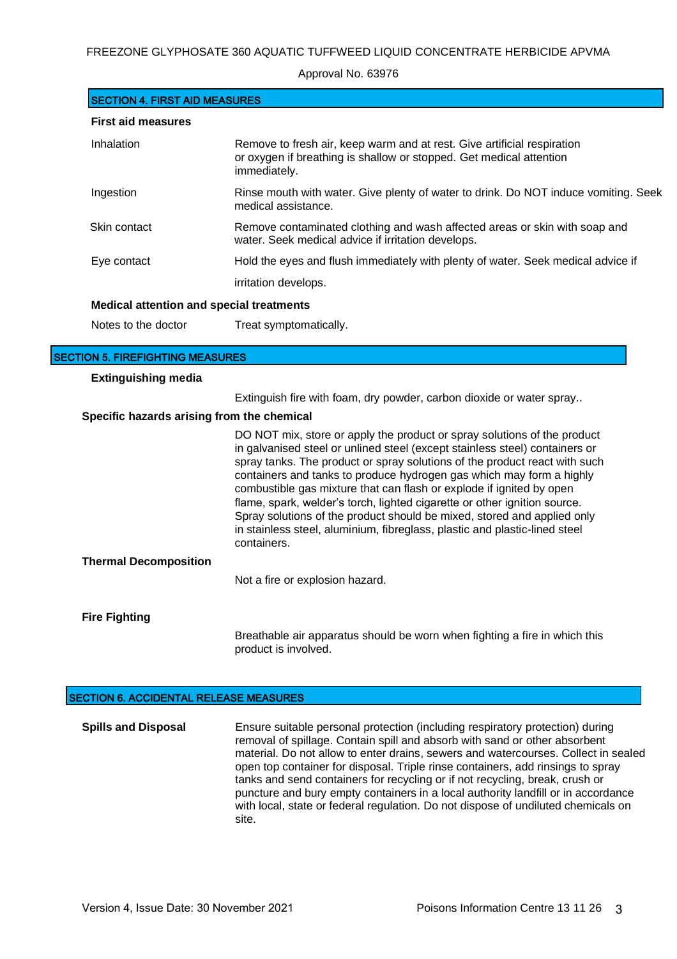Approval No. 63976

| <b>SECTION 4. FIRST AID MEASURES</b>            |                                                                                                                                                                |  |
|-------------------------------------------------|----------------------------------------------------------------------------------------------------------------------------------------------------------------|--|
| <b>First aid measures</b>                       |                                                                                                                                                                |  |
| Inhalation                                      | Remove to fresh air, keep warm and at rest. Give artificial respiration<br>or oxygen if breathing is shallow or stopped. Get medical attention<br>immediately. |  |
| Ingestion                                       | Rinse mouth with water. Give plenty of water to drink. Do NOT induce vomiting. Seek<br>medical assistance.                                                     |  |
| Skin contact                                    | Remove contaminated clothing and wash affected areas or skin with soap and<br>water. Seek medical advice if irritation develops.                               |  |
| Eye contact                                     | Hold the eyes and flush immediately with plenty of water. Seek medical advice if                                                                               |  |
|                                                 | irritation develops.                                                                                                                                           |  |
| <b>Medical attention and special treatments</b> |                                                                                                                                                                |  |
| Notes to the doctor                             | Treat symptomatically.                                                                                                                                         |  |

#### SECTION 5. FIREFIGHTING MEASURES

#### **Extinguishing media**

Extinguish fire with foam, dry powder, carbon dioxide or water spray..

#### **Specific hazards arising from the chemical**

|                              | DO NOT mix, store or apply the product or spray solutions of the product<br>in galvanised steel or unlined steel (except stainless steel) containers or<br>spray tanks. The product or spray solutions of the product react with such<br>containers and tanks to produce hydrogen gas which may form a highly<br>combustible gas mixture that can flash or explode if ignited by open<br>flame, spark, welder's torch, lighted cigarette or other ignition source.<br>Spray solutions of the product should be mixed, stored and applied only<br>in stainless steel, aluminium, fibreglass, plastic and plastic-lined steel<br>containers. |
|------------------------------|--------------------------------------------------------------------------------------------------------------------------------------------------------------------------------------------------------------------------------------------------------------------------------------------------------------------------------------------------------------------------------------------------------------------------------------------------------------------------------------------------------------------------------------------------------------------------------------------------------------------------------------------|
| <b>Thermal Decomposition</b> |                                                                                                                                                                                                                                                                                                                                                                                                                                                                                                                                                                                                                                            |
|                              | Not a fire or explosion hazard.                                                                                                                                                                                                                                                                                                                                                                                                                                                                                                                                                                                                            |
| <b>Fire Fighting</b>         |                                                                                                                                                                                                                                                                                                                                                                                                                                                                                                                                                                                                                                            |

Breathable air apparatus should be worn when fighting a fire in which this product is involved.

#### SECTION 6. ACCIDENTAL RELEASE MEASURES

**Spills and Disposal** Ensure suitable personal protection (including respiratory protection) during removal of spillage. Contain spill and absorb with sand or other absorbent material. Do not allow to enter drains, sewers and watercourses. Collect in sealed open top container for disposal. Triple rinse containers, add rinsings to spray tanks and send containers for recycling or if not recycling, break, crush or puncture and bury empty containers in a local authority landfill or in accordance with local, state or federal regulation. Do not dispose of undiluted chemicals on site.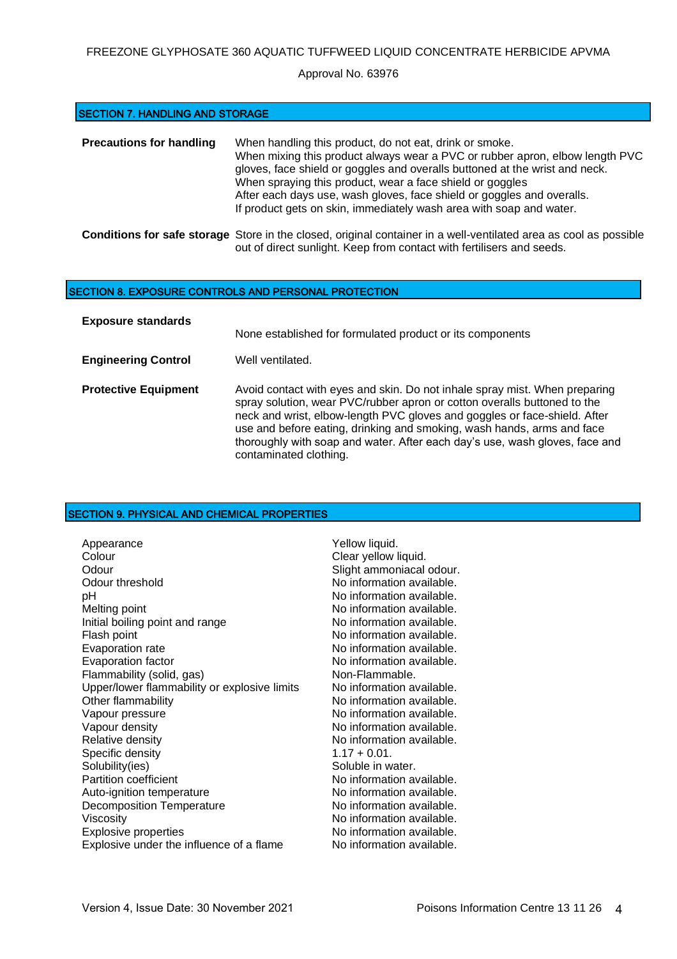#### FREEZONE GLYPHOSATE 360 AQUATIC TUFFWEED LIQUID CONCENTRATE HERBICIDE APVMA

#### Approval No. 63976

#### SECTION 7. HANDLING AND STORAGE

| <b>Precautions for handling</b> | When handling this product, do not eat, drink or smoke.<br>When mixing this product always wear a PVC or rubber apron, elbow length PVC<br>gloves, face shield or goggles and overalls buttoned at the wrist and neck.<br>When spraying this product, wear a face shield or goggles<br>After each days use, wash gloves, face shield or goggles and overalls.<br>If product gets on skin, immediately wash area with soap and water. |  |
|---------------------------------|--------------------------------------------------------------------------------------------------------------------------------------------------------------------------------------------------------------------------------------------------------------------------------------------------------------------------------------------------------------------------------------------------------------------------------------|--|
|                                 | <b>Conditions for safe storage</b> Store in the closed, original container in a well-ventilated area as cool as possible<br>out of direct sunlight. Keep from contact with fertilisers and seeds.                                                                                                                                                                                                                                    |  |

#### SECTION 8. EXPOSURE CONTROLS AND PERSONAL PROTECTION

| <b>Exposure standards</b>   | None established for formulated product or its components                                                                                                                                                                                                                                                                                                                                                              |
|-----------------------------|------------------------------------------------------------------------------------------------------------------------------------------------------------------------------------------------------------------------------------------------------------------------------------------------------------------------------------------------------------------------------------------------------------------------|
| <b>Engineering Control</b>  | Well ventilated.                                                                                                                                                                                                                                                                                                                                                                                                       |
| <b>Protective Equipment</b> | Avoid contact with eyes and skin. Do not inhale spray mist. When preparing<br>spray solution, wear PVC/rubber apron or cotton overalls buttoned to the<br>neck and wrist, elbow-length PVC gloves and goggles or face-shield. After<br>use and before eating, drinking and smoking, wash hands, arms and face<br>thoroughly with soap and water. After each day's use, wash gloves, face and<br>contaminated clothing. |

# SECTION 9. PHYSICAL AND CHEMICAL PROPERTIES

| Appearance<br>Colour                         | Yellow liquid.<br>Clear yellow liquid. |
|----------------------------------------------|----------------------------------------|
| Odour                                        | Slight ammoniacal odour.               |
| Odour threshold                              | No information available.              |
| рH                                           | No information available.              |
| Melting point                                | No information available.              |
| Initial boiling point and range              | No information available.              |
| Flash point                                  | No information available.              |
| Evaporation rate                             | No information available.              |
| Evaporation factor                           | No information available.              |
| Flammability (solid, gas)                    | Non-Flammable.                         |
| Upper/lower flammability or explosive limits | No information available.              |
| Other flammability                           | No information available.              |
| Vapour pressure                              | No information available.              |
| Vapour density                               | No information available.              |
| Relative density                             | No information available.              |
| Specific density                             | $1.17 + 0.01$ .                        |
| Solubility(ies)                              | Soluble in water.                      |
| <b>Partition coefficient</b>                 | No information available.              |
| Auto-ignition temperature                    | No information available.              |
| <b>Decomposition Temperature</b>             | No information available.              |
| Viscosity                                    | No information available.              |
| <b>Explosive properties</b>                  | No information available.              |
| Explosive under the influence of a flame     | No information available.              |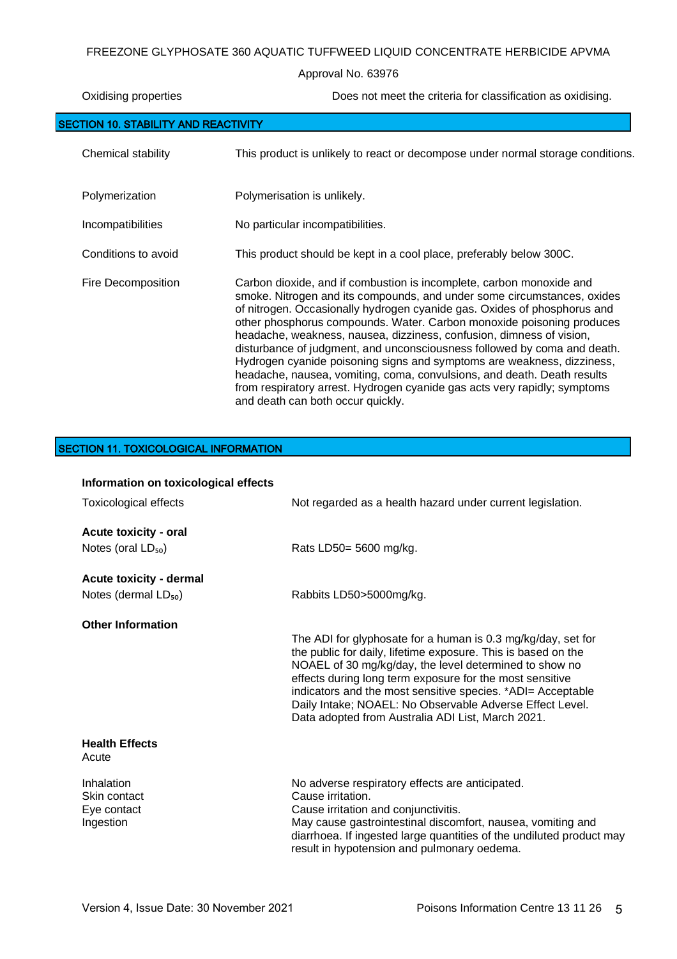## FREEZONE GLYPHOSATE 360 AQUATIC TUFFWEED LIQUID CONCENTRATE HERBICIDE APVMA

#### Approval No. 63976

| Oxidising properties                        | Does not meet the criteria for classification as oxidising.                                                                                                                                                                                                                                                                                                                                                                                                                                                                                                                                                                                                                                                                     |  |
|---------------------------------------------|---------------------------------------------------------------------------------------------------------------------------------------------------------------------------------------------------------------------------------------------------------------------------------------------------------------------------------------------------------------------------------------------------------------------------------------------------------------------------------------------------------------------------------------------------------------------------------------------------------------------------------------------------------------------------------------------------------------------------------|--|
| <b>SECTION 10. STABILITY AND REACTIVITY</b> |                                                                                                                                                                                                                                                                                                                                                                                                                                                                                                                                                                                                                                                                                                                                 |  |
| Chemical stability                          | This product is unlikely to react or decompose under normal storage conditions.                                                                                                                                                                                                                                                                                                                                                                                                                                                                                                                                                                                                                                                 |  |
| Polymerization                              | Polymerisation is unlikely.                                                                                                                                                                                                                                                                                                                                                                                                                                                                                                                                                                                                                                                                                                     |  |
| Incompatibilities                           | No particular incompatibilities.                                                                                                                                                                                                                                                                                                                                                                                                                                                                                                                                                                                                                                                                                                |  |
| Conditions to avoid                         | This product should be kept in a cool place, preferably below 300C.                                                                                                                                                                                                                                                                                                                                                                                                                                                                                                                                                                                                                                                             |  |
| Fire Decomposition                          | Carbon dioxide, and if combustion is incomplete, carbon monoxide and<br>smoke. Nitrogen and its compounds, and under some circumstances, oxides<br>of nitrogen. Occasionally hydrogen cyanide gas. Oxides of phosphorus and<br>other phosphorus compounds. Water. Carbon monoxide poisoning produces<br>headache, weakness, nausea, dizziness, confusion, dimness of vision,<br>disturbance of judgment, and unconsciousness followed by coma and death.<br>Hydrogen cyanide poisoning signs and symptoms are weakness, dizziness,<br>headache, nausea, vomiting, coma, convulsions, and death. Death results<br>from respiratory arrest. Hydrogen cyanide gas acts very rapidly; symptoms<br>and death can both occur quickly. |  |

## SECTION 11. TOXICOLOGICAL INFORMATION

| Information on toxicological effects                           |                                                                                                                                                                                                                                                                                                                                                                                                                                     |
|----------------------------------------------------------------|-------------------------------------------------------------------------------------------------------------------------------------------------------------------------------------------------------------------------------------------------------------------------------------------------------------------------------------------------------------------------------------------------------------------------------------|
| <b>Toxicological effects</b>                                   | Not regarded as a health hazard under current legislation.                                                                                                                                                                                                                                                                                                                                                                          |
| <b>Acute toxicity - oral</b><br>Notes (oral LD <sub>50</sub> ) | Rats LD50= 5600 mg/kg.                                                                                                                                                                                                                                                                                                                                                                                                              |
| Acute toxicity - dermal<br>Notes (dermal LD <sub>50</sub> )    | Rabbits LD50>5000mg/kg.                                                                                                                                                                                                                                                                                                                                                                                                             |
| <b>Other Information</b>                                       | The ADI for glyphosate for a human is 0.3 mg/kg/day, set for<br>the public for daily, lifetime exposure. This is based on the<br>NOAEL of 30 mg/kg/day, the level determined to show no<br>effects during long term exposure for the most sensitive<br>indicators and the most sensitive species. *ADI= Acceptable<br>Daily Intake; NOAEL: No Observable Adverse Effect Level.<br>Data adopted from Australia ADI List, March 2021. |
| <b>Health Effects</b><br>Acute                                 |                                                                                                                                                                                                                                                                                                                                                                                                                                     |
| Inhalation<br>Skin contact<br>Eye contact<br>Ingestion         | No adverse respiratory effects are anticipated.<br>Cause irritation.<br>Cause irritation and conjunctivitis.<br>May cause gastrointestinal discomfort, nausea, vomiting and<br>diarrhoea. If ingested large quantities of the undiluted product may<br>result in hypotension and pulmonary oedema.                                                                                                                                  |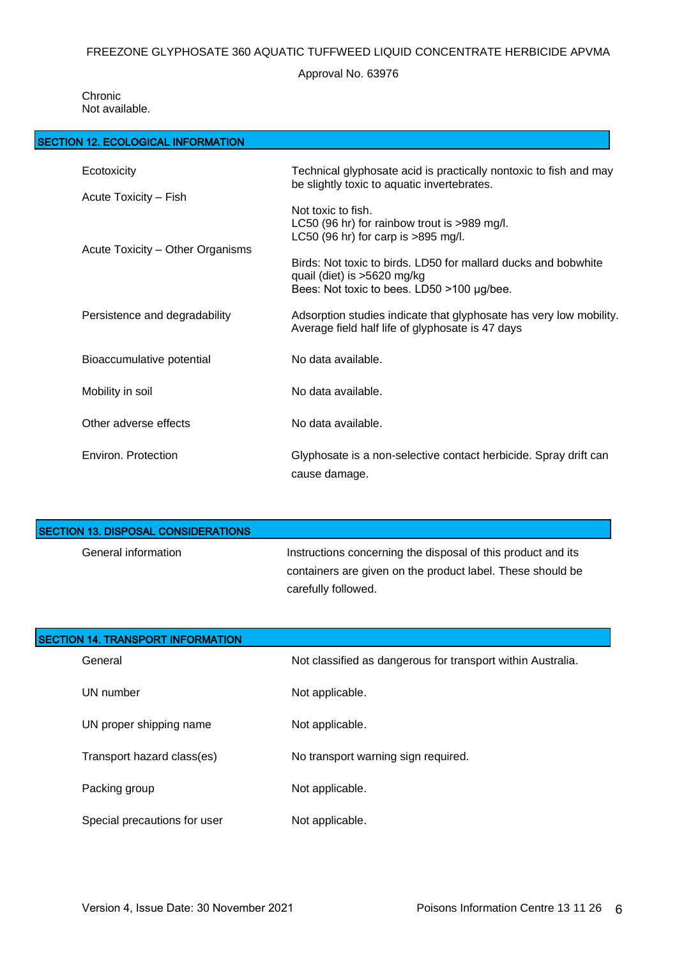Approval No. 63976

Chronic Not available.

| <b>SECTION 12. ECOLOGICAL INFORMATION</b> |                                                                                                                                                                                                                                      |
|-------------------------------------------|--------------------------------------------------------------------------------------------------------------------------------------------------------------------------------------------------------------------------------------|
| Ecotoxicity<br>Acute Toxicity - Fish      | Technical glyphosate acid is practically nontoxic to fish and may<br>be slightly toxic to aquatic invertebrates.<br>Not toxic to fish.                                                                                               |
| Acute Toxicity - Other Organisms          | LC50 (96 hr) for rainbow trout is >989 mg/l.<br>LC50 (96 hr) for carp is $>895$ mg/l.<br>Birds: Not toxic to birds. LD50 for mallard ducks and bobwhite<br>quail (diet) is >5620 mg/kg<br>Bees: Not toxic to bees. LD50 >100 µg/bee. |
| Persistence and degradability             | Adsorption studies indicate that glyphosate has very low mobility.<br>Average field half life of glyphosate is 47 days                                                                                                               |
| Bioaccumulative potential                 | No data available.                                                                                                                                                                                                                   |
| Mobility in soil                          | No data available.                                                                                                                                                                                                                   |
| Other adverse effects                     | No data available.                                                                                                                                                                                                                   |
| Environ, Protection                       | Glyphosate is a non-selective contact herbicide. Spray drift can<br>cause damage.                                                                                                                                                    |

| <b>SECTION 13. DISPOSAL CONSIDERATIONS</b> |                                                              |
|--------------------------------------------|--------------------------------------------------------------|
| General information                        | Instructions concerning the disposal of this product and its |
|                                            | containers are given on the product label. These should be   |
|                                            | carefully followed.                                          |

| <b>SECTION 14. TRANSPORT INFORMATION</b> |                                                             |
|------------------------------------------|-------------------------------------------------------------|
| General                                  | Not classified as dangerous for transport within Australia. |
| UN number                                | Not applicable.                                             |
| UN proper shipping name                  | Not applicable.                                             |
| Transport hazard class(es)               | No transport warning sign required.                         |
| Packing group                            | Not applicable.                                             |
| Special precautions for user             | Not applicable.                                             |